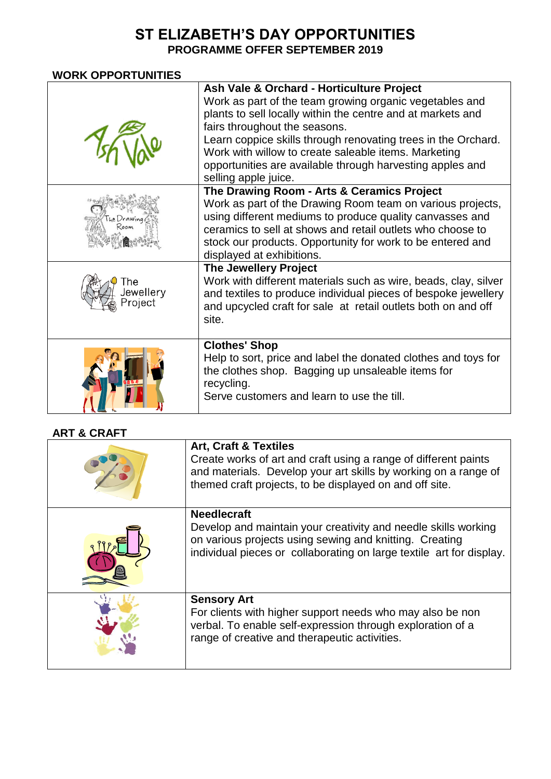## **ST ELIZABETH'S DAY OPPORTUNITIES PROGRAMME OFFER SEPTEMBER 2019**

## **WORK OPPORTUNITIES**

|                            | Ash Vale & Orchard - Horticulture Project<br>Work as part of the team growing organic vegetables and<br>plants to sell locally within the centre and at markets and<br>fairs throughout the seasons.<br>Learn coppice skills through renovating trees in the Orchard.<br>Work with willow to create saleable items. Marketing<br>opportunities are available through harvesting apples and |
|----------------------------|--------------------------------------------------------------------------------------------------------------------------------------------------------------------------------------------------------------------------------------------------------------------------------------------------------------------------------------------------------------------------------------------|
|                            | selling apple juice.                                                                                                                                                                                                                                                                                                                                                                       |
|                            | The Drawing Room - Arts & Ceramics Project<br>Work as part of the Drawing Room team on various projects,<br>using different mediums to produce quality canvasses and<br>ceramics to sell at shows and retail outlets who choose to<br>stock our products. Opportunity for work to be entered and<br>displayed at exhibitions.                                                              |
| he<br>lewellery<br>roject' | The Jewellery Project<br>Work with different materials such as wire, beads, clay, silver<br>and textiles to produce individual pieces of bespoke jewellery<br>and upcycled craft for sale at retail outlets both on and off<br>site.                                                                                                                                                       |
|                            | <b>Clothes' Shop</b><br>Help to sort, price and label the donated clothes and toys for<br>the clothes shop. Bagging up unsaleable items for<br>recycling.<br>Serve customers and learn to use the till.                                                                                                                                                                                    |

## **ART & CRAFT**

| <b>Art, Craft &amp; Textiles</b><br>Create works of art and craft using a range of different paints<br>and materials. Develop your art skills by working on a range of<br>themed craft projects, to be displayed on and off site. |
|-----------------------------------------------------------------------------------------------------------------------------------------------------------------------------------------------------------------------------------|
| <b>Needlecraft</b><br>Develop and maintain your creativity and needle skills working<br>on various projects using sewing and knitting. Creating<br>individual pieces or collaborating on large textile art for display.           |
| <b>Sensory Art</b><br>For clients with higher support needs who may also be non<br>verbal. To enable self-expression through exploration of a<br>range of creative and therapeutic activities.                                    |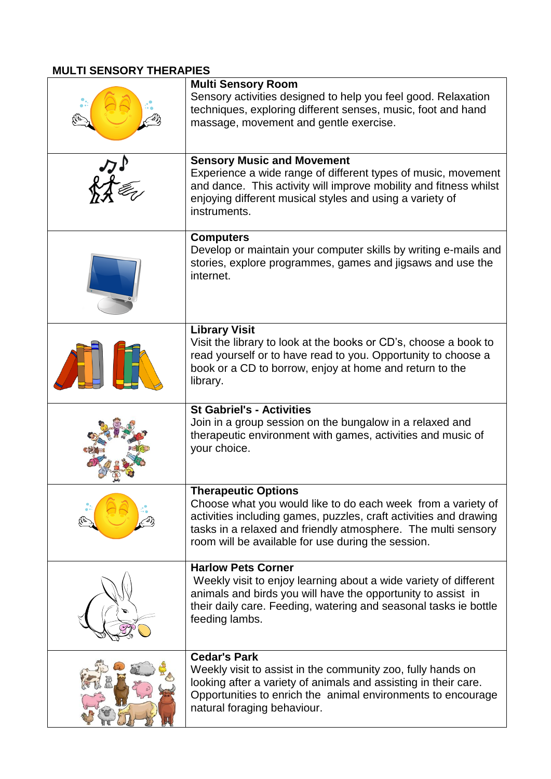## **MULTI SENSORY THERAPIES**

| <b>Multi Sensory Room</b><br>Sensory activities designed to help you feel good. Relaxation<br>techniques, exploring different senses, music, foot and hand<br>massage, movement and gentle exercise.                                                                                   |
|----------------------------------------------------------------------------------------------------------------------------------------------------------------------------------------------------------------------------------------------------------------------------------------|
| <b>Sensory Music and Movement</b><br>Experience a wide range of different types of music, movement<br>and dance. This activity will improve mobility and fitness whilst<br>enjoying different musical styles and using a variety of<br>instruments.                                    |
| <b>Computers</b><br>Develop or maintain your computer skills by writing e-mails and<br>stories, explore programmes, games and jigsaws and use the<br>internet.                                                                                                                         |
| <b>Library Visit</b><br>Visit the library to look at the books or CD's, choose a book to<br>read yourself or to have read to you. Opportunity to choose a<br>book or a CD to borrow, enjoy at home and return to the<br>library.                                                       |
| <b>St Gabriel's - Activities</b><br>Join in a group session on the bungalow in a relaxed and<br>therapeutic environment with games, activities and music of<br>your choice.                                                                                                            |
| <b>Therapeutic Options</b><br>Choose what you would like to do each week from a variety of<br>activities including games, puzzles, craft activities and drawing<br>tasks in a relaxed and friendly atmosphere. The multi sensory<br>room will be available for use during the session. |
| <b>Harlow Pets Corner</b><br>Weekly visit to enjoy learning about a wide variety of different<br>animals and birds you will have the opportunity to assist in<br>their daily care. Feeding, watering and seasonal tasks ie bottle<br>feeding lambs.                                    |
| <b>Cedar's Park</b><br>Weekly visit to assist in the community zoo, fully hands on<br>looking after a variety of animals and assisting in their care.<br>Opportunities to enrich the animal environments to encourage<br>natural foraging behaviour.                                   |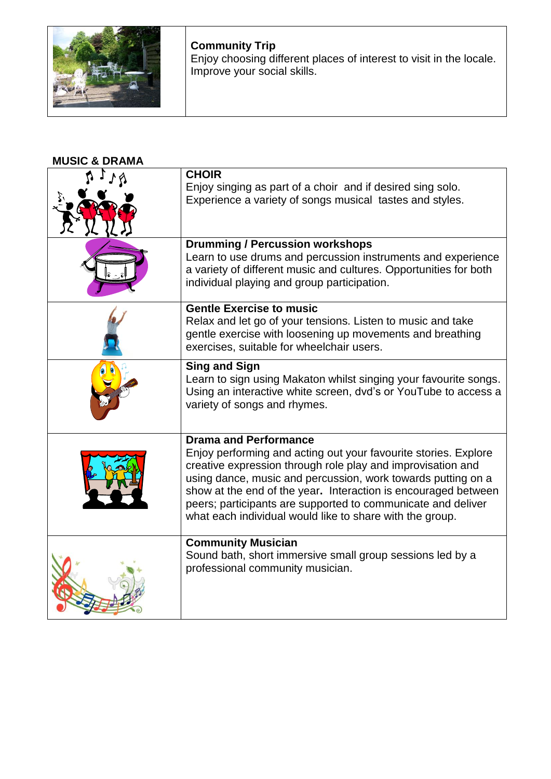

**Community Trip** Enjoy choosing different places of interest to visit in the locale. Improve your social skills.

**MUSIC & DRAMA** 

| <b>CHOIR</b><br>Enjoy singing as part of a choir and if desired sing solo.                                                                                                                                                                                                                                                                                                                   |
|----------------------------------------------------------------------------------------------------------------------------------------------------------------------------------------------------------------------------------------------------------------------------------------------------------------------------------------------------------------------------------------------|
| Experience a variety of songs musical tastes and styles.                                                                                                                                                                                                                                                                                                                                     |
| <b>Drumming / Percussion workshops</b>                                                                                                                                                                                                                                                                                                                                                       |
| Learn to use drums and percussion instruments and experience<br>a variety of different music and cultures. Opportunities for both<br>individual playing and group participation.                                                                                                                                                                                                             |
| <b>Gentle Exercise to music</b>                                                                                                                                                                                                                                                                                                                                                              |
| Relax and let go of your tensions. Listen to music and take<br>gentle exercise with loosening up movements and breathing<br>exercises, suitable for wheelchair users.                                                                                                                                                                                                                        |
| <b>Sing and Sign</b><br>Learn to sign using Makaton whilst singing your favourite songs.<br>Using an interactive white screen, dvd's or YouTube to access a<br>variety of songs and rhymes.                                                                                                                                                                                                  |
| <b>Drama and Performance</b>                                                                                                                                                                                                                                                                                                                                                                 |
| Enjoy performing and acting out your favourite stories. Explore<br>creative expression through role play and improvisation and<br>using dance, music and percussion, work towards putting on a<br>show at the end of the year. Interaction is encouraged between<br>peers; participants are supported to communicate and deliver<br>what each individual would like to share with the group. |
| <b>Community Musician</b>                                                                                                                                                                                                                                                                                                                                                                    |
| Sound bath, short immersive small group sessions led by a<br>professional community musician.                                                                                                                                                                                                                                                                                                |